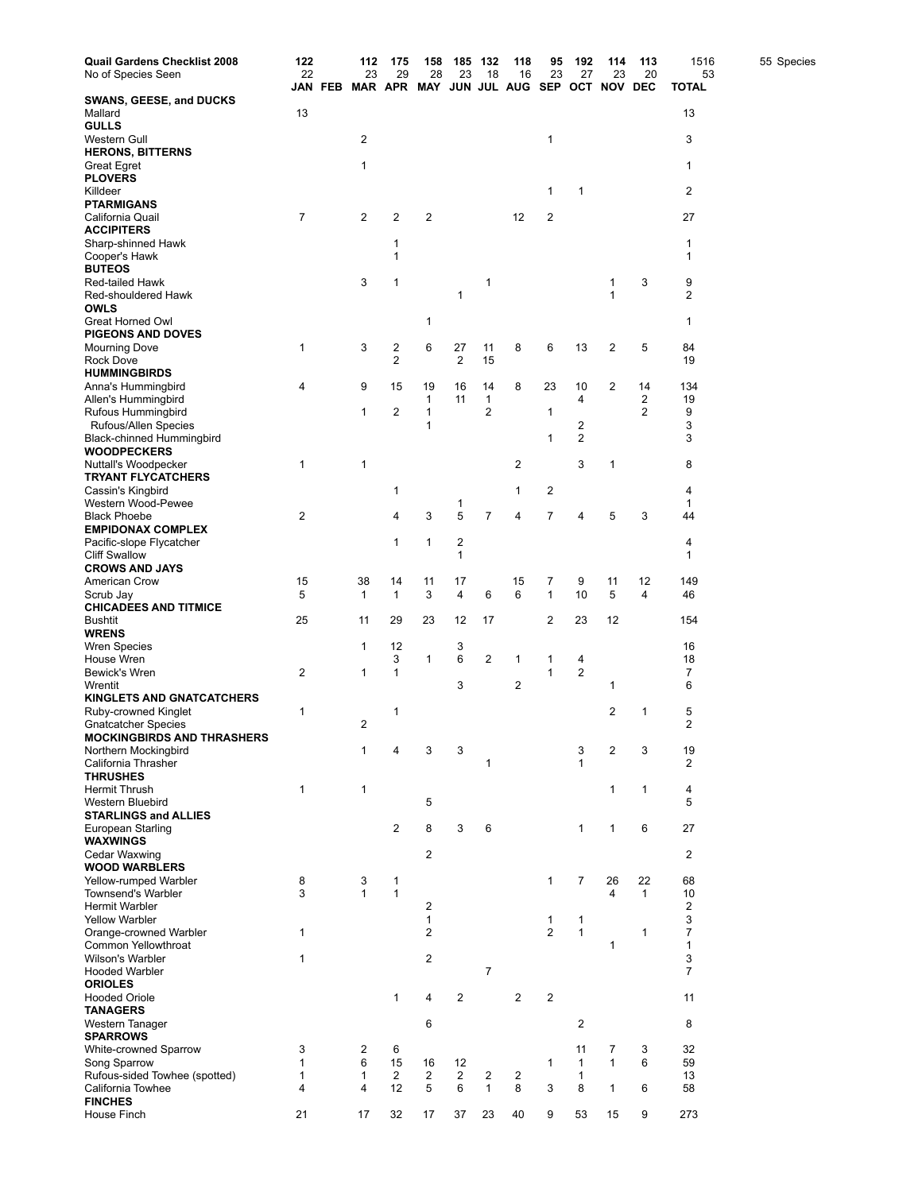| <b>Quail Gardens Checklist 2008</b>                | 122                         |         | 112                     | 175                  | 158                     | 185                  | 132                | 118                          | 95             | 192                          | 114                                           | 113          | 1516               | 55 Species |
|----------------------------------------------------|-----------------------------|---------|-------------------------|----------------------|-------------------------|----------------------|--------------------|------------------------------|----------------|------------------------------|-----------------------------------------------|--------------|--------------------|------------|
| No of Species Seen                                 | 22                          | JAN FEB | 23                      | 29                   | 28                      | 23                   | 18                 | 16                           | 23             | 27                           | 23<br>MAR APR MAY JUN JUL AUG SEP OCT NOV DEC | 20           | 53<br><b>TOTAL</b> |            |
| <b>SWANS, GEESE, and DUCKS</b>                     |                             |         |                         |                      |                         |                      |                    |                              |                |                              |                                               |              |                    |            |
| Mallard                                            | 13                          |         |                         |                      |                         |                      |                    |                              |                |                              |                                               |              | 13                 |            |
| <b>GULLS</b><br>Western Gull                       |                             |         | $\overline{\mathbf{c}}$ |                      |                         |                      |                    |                              | 1              |                              |                                               |              | 3                  |            |
| <b>HERONS, BITTERNS</b>                            |                             |         |                         |                      |                         |                      |                    |                              |                |                              |                                               |              |                    |            |
| <b>Great Egret</b>                                 |                             |         | 1                       |                      |                         |                      |                    |                              |                |                              |                                               |              | 1                  |            |
| <b>PLOVERS</b><br>Killdeer                         |                             |         |                         |                      |                         |                      |                    |                              | 1              | 1                            |                                               |              | 2                  |            |
| <b>PTARMIGANS</b>                                  |                             |         |                         |                      |                         |                      |                    |                              |                |                              |                                               |              |                    |            |
| California Quail                                   | $\overline{7}$              |         | 2                       | 2                    | 2                       |                      |                    | 12                           | 2              |                              |                                               |              | 27                 |            |
| <b>ACCIPITERS</b><br>Sharp-shinned Hawk            |                             |         |                         | 1                    |                         |                      |                    |                              |                |                              |                                               |              | 1                  |            |
| Cooper's Hawk                                      |                             |         |                         | $\mathbf{1}$         |                         |                      |                    |                              |                |                              |                                               |              | 1                  |            |
| <b>BUTEOS</b>                                      |                             |         |                         |                      |                         |                      |                    |                              |                |                              |                                               |              |                    |            |
| <b>Red-tailed Hawk</b><br>Red-shouldered Hawk      |                             |         | 3                       | 1                    |                         | 1                    | 1                  |                              |                |                              | 1<br>1                                        | 3            | 9<br>2             |            |
| OWLS                                               |                             |         |                         |                      |                         |                      |                    |                              |                |                              |                                               |              |                    |            |
| Great Horned Owl                                   |                             |         |                         |                      | 1                       |                      |                    |                              |                |                              |                                               |              | 1                  |            |
| <b>PIGEONS AND DOVES</b><br>Mourning Dove          | 1                           |         | 3                       | 2                    | 6                       | 27                   | 11                 | 8                            | 6              | 13                           | 2                                             | 5            | 84                 |            |
| <b>Rock Dove</b>                                   |                             |         |                         | $\overline{c}$       |                         | $\overline{2}$       | 15                 |                              |                |                              |                                               |              | 19                 |            |
| <b>HUMMINGBIRDS</b>                                |                             |         |                         |                      |                         |                      |                    |                              |                |                              |                                               |              |                    |            |
| Anna's Hummingbird<br>Allen's Hummingbird          | 4                           |         | 9                       | 15                   | 19<br>1                 | 16<br>11             | 14<br>$\mathbf{1}$ | 8                            | 23             | 10<br>4                      | 2                                             | 14<br>2      | 134<br>19          |            |
| Rufous Hummingbird                                 |                             |         | 1                       | 2                    | 1                       |                      | $\overline{2}$     |                              | 1              |                              |                                               | 2            | 9                  |            |
| <b>Rufous/Allen Species</b>                        |                             |         |                         |                      | 1                       |                      |                    |                              |                | 2                            |                                               |              | 3                  |            |
| Black-chinned Hummingbird<br><b>WOODPECKERS</b>    |                             |         |                         |                      |                         |                      |                    |                              | 1              | 2                            |                                               |              | 3                  |            |
| Nuttall's Woodpecker                               | 1                           |         | 1                       |                      |                         |                      |                    | $\overline{\mathbf{c}}$      |                | 3                            | 1                                             |              | 8                  |            |
| <b>TRYANT FLYCATCHERS</b>                          |                             |         |                         |                      |                         |                      |                    |                              |                |                              |                                               |              |                    |            |
| Cassin's Kingbird<br>Western Wood-Pewee            |                             |         |                         | 1                    |                         | 1                    |                    | $\mathbf{1}$                 | 2              |                              |                                               |              | 4<br>1             |            |
| <b>Black Phoebe</b>                                | 2                           |         |                         | 4                    | 3                       | 5                    | $\overline{7}$     | 4                            | 7              | 4                            | 5                                             | 3            | 44                 |            |
| <b>EMPIDONAX COMPLEX</b>                           |                             |         |                         |                      |                         |                      |                    |                              |                |                              |                                               |              |                    |            |
| Pacific-slope Flycatcher<br><b>Cliff Swallow</b>   |                             |         |                         | 1                    | 1                       | 2<br>1               |                    |                              |                |                              |                                               |              | 4<br>1             |            |
| <b>CROWS AND JAYS</b>                              |                             |         |                         |                      |                         |                      |                    |                              |                |                              |                                               |              |                    |            |
| American Crow                                      | 15                          |         | 38                      | 14                   | 11                      | 17                   |                    | 15                           | 7              | 9                            | 11                                            | 12           | 149                |            |
| Scrub Jay                                          | 5                           |         | $\mathbf{1}$            | 1                    | 3                       | 4                    | 6                  | 6                            | $\mathbf{1}$   | 10                           | 5                                             | 4            | 46                 |            |
| <b>CHICADEES AND TITMICE</b><br><b>Bushtit</b>     | 25                          |         | 11                      | 29                   | 23                      | 12                   | 17                 |                              | 2              | 23                           | 12                                            |              | 154                |            |
| <b>WRENS</b>                                       |                             |         |                         |                      |                         |                      |                    |                              |                |                              |                                               |              |                    |            |
| Wren Species<br>House Wren                         |                             |         | 1                       | 12<br>3              |                         | 3<br>6               | $\overline{2}$     | $\mathbf{1}$                 |                |                              |                                               |              | 16<br>18           |            |
| Bewick's Wren                                      | $\overline{c}$              |         | 1                       | 1                    | 1                       |                      |                    |                              | 1<br>1         | 4<br>$\overline{\mathbf{c}}$ |                                               |              | 7                  |            |
| Wrentit                                            |                             |         |                         |                      |                         | 3                    |                    | 2                            |                |                              | 1                                             |              | 6                  |            |
| <b>KINGLETS AND GNATCATCHERS</b>                   | 1                           |         |                         |                      |                         |                      |                    |                              |                |                              | 2                                             | 1            | 5                  |            |
| Ruby-crowned Kinglet<br><b>Gnatcatcher Species</b> |                             |         | 2                       | 1                    |                         |                      |                    |                              |                |                              |                                               |              | $\overline{2}$     |            |
| <b>MOCKINGBIRDS AND THRASHERS</b>                  |                             |         |                         |                      |                         |                      |                    |                              |                |                              |                                               |              |                    |            |
| Northern Mockingbird<br>California Thrasher        |                             |         | 1                       | 4                    | 3                       | 3                    | $\mathbf{1}$       |                              |                | 3<br>1                       | 2                                             | 3            | 19<br>2            |            |
| <b>THRUSHES</b>                                    |                             |         |                         |                      |                         |                      |                    |                              |                |                              |                                               |              |                    |            |
| <b>Hermit Thrush</b>                               | $\mathbf{1}$                |         | 1                       |                      |                         |                      |                    |                              |                |                              | 1                                             | 1            | 4                  |            |
| Western Bluebird<br><b>STARLINGS and ALLIES</b>    |                             |         |                         |                      | 5                       |                      |                    |                              |                |                              |                                               |              | 5                  |            |
| European Starling                                  |                             |         |                         | $\overline{2}$       | 8                       | 3                    | 6                  |                              |                | $\mathbf{1}$                 | $\mathbf{1}$                                  | 6            | 27                 |            |
| <b>WAXWINGS</b>                                    |                             |         |                         |                      |                         |                      |                    |                              |                |                              |                                               |              |                    |            |
| Cedar Waxwing<br><b>WOOD WARBLERS</b>              |                             |         |                         |                      | $\overline{2}$          |                      |                    |                              |                |                              |                                               |              | 2                  |            |
| Yellow-rumped Warbler                              | 8                           |         | 3                       | 1                    |                         |                      |                    |                              | 1              | $\overline{7}$               | 26                                            | 22           | 68                 |            |
| <b>Townsend's Warbler</b>                          | 3                           |         | $\mathbf{1}$            | $\mathbf{1}$         |                         |                      |                    |                              |                |                              | $\overline{4}$                                | $\mathbf{1}$ | 10                 |            |
| <b>Hermit Warbler</b><br><b>Yellow Warbler</b>     |                             |         |                         |                      | 2<br>$\mathbf{1}$       |                      |                    |                              | 1              | 1                            |                                               |              | 2<br>3             |            |
| Orange-crowned Warbler                             | 1                           |         |                         |                      | $\overline{2}$          |                      |                    |                              | $\overline{2}$ | $\mathbf{1}$                 |                                               | 1            | $\overline{7}$     |            |
| Common Yellowthroat                                |                             |         |                         |                      |                         |                      |                    |                              |                |                              | 1                                             |              | $\mathbf{1}$       |            |
| <b>Wilson's Warbler</b><br><b>Hooded Warbler</b>   | 1                           |         |                         |                      | $\overline{\mathbf{c}}$ |                      | $\overline{7}$     |                              |                |                              |                                               |              | 3<br>7             |            |
| <b>ORIOLES</b>                                     |                             |         |                         |                      |                         |                      |                    |                              |                |                              |                                               |              |                    |            |
| <b>Hooded Oriole</b>                               |                             |         |                         | $\mathbf{1}$         | $\overline{4}$          | $\overline{2}$       |                    | $\overline{2}$               | $\overline{2}$ |                              |                                               |              | 11                 |            |
| <b>TANAGERS</b>                                    |                             |         |                         |                      |                         |                      |                    |                              |                |                              |                                               |              |                    |            |
| Western Tanager<br><b>SPARROWS</b>                 |                             |         |                         |                      | 6                       |                      |                    |                              |                | $\overline{c}$               |                                               |              | 8                  |            |
| White-crowned Sparrow                              | 3                           |         | 2                       | 6                    |                         |                      |                    |                              |                | 11                           | 7                                             | 3            | 32                 |            |
| Song Sparrow                                       | $\mathbf 1$<br>$\mathbf{1}$ |         | 6<br>$\mathbf{1}$       | 15<br>$\overline{2}$ | 16                      | 12<br>$\overline{2}$ |                    |                              | $\mathbf{1}$   | $\mathbf{1}$                 | $\mathbf{1}$                                  | 6            | 59                 |            |
| Rufous-sided Towhee (spotted)<br>California Towhee | 4                           |         | 4                       | 12                   | $\overline{c}$<br>5     | 6                    | 2<br>$\mathbf{1}$  | $\overline{\mathbf{c}}$<br>8 | 3              | $\mathbf{1}$<br>8            | $\mathbf{1}$                                  | 6            | 13<br>58           |            |
| <b>FINCHES</b>                                     |                             |         |                         |                      |                         |                      |                    |                              |                |                              |                                               |              |                    |            |
| House Finch                                        | 21                          |         | 17                      | 32                   | 17                      | 37                   | 23                 | 40                           | 9              | 53                           | 15                                            | 9            | 273                |            |